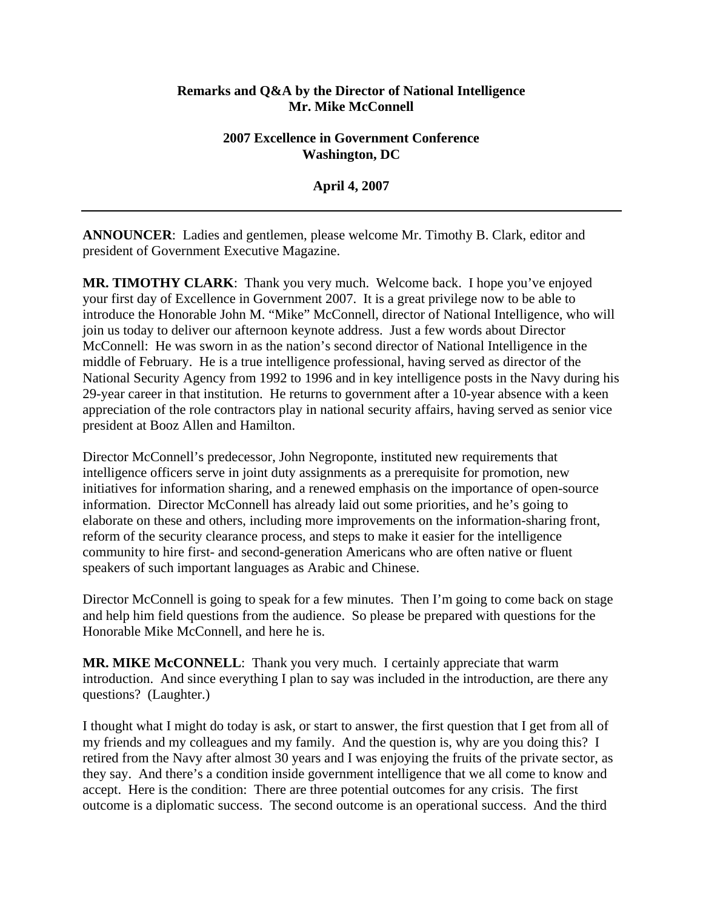## **Remarks and Q&A by the Director of National Intelligence Mr. Mike McConnell**

## **2007 Excellence in Government Conference Washington, DC**

**April 4, 2007** 

**ANNOUNCER**: Ladies and gentlemen, please welcome Mr. Timothy B. Clark, editor and president of Government Executive Magazine.

**MR. TIMOTHY CLARK**: Thank you very much. Welcome back. I hope you've enjoyed your first day of Excellence in Government 2007. It is a great privilege now to be able to introduce the Honorable John M. "Mike" McConnell, director of National Intelligence, who will join us today to deliver our afternoon keynote address. Just a few words about Director McConnell: He was sworn in as the nation's second director of National Intelligence in the middle of February. He is a true intelligence professional, having served as director of the National Security Agency from 1992 to 1996 and in key intelligence posts in the Navy during his 29-year career in that institution. He returns to government after a 10-year absence with a keen appreciation of the role contractors play in national security affairs, having served as senior vice president at Booz Allen and Hamilton.

Director McConnell's predecessor, John Negroponte, instituted new requirements that intelligence officers serve in joint duty assignments as a prerequisite for promotion, new initiatives for information sharing, and a renewed emphasis on the importance of open-source information. Director McConnell has already laid out some priorities, and he's going to elaborate on these and others, including more improvements on the information-sharing front, reform of the security clearance process, and steps to make it easier for the intelligence community to hire first- and second-generation Americans who are often native or fluent speakers of such important languages as Arabic and Chinese.

Director McConnell is going to speak for a few minutes. Then I'm going to come back on stage and help him field questions from the audience. So please be prepared with questions for the Honorable Mike McConnell, and here he is.

**MR. MIKE McCONNELL**: Thank you very much. I certainly appreciate that warm introduction. And since everything I plan to say was included in the introduction, are there any questions? (Laughter.)

I thought what I might do today is ask, or start to answer, the first question that I get from all of my friends and my colleagues and my family. And the question is, why are you doing this? I retired from the Navy after almost 30 years and I was enjoying the fruits of the private sector, as they say. And there's a condition inside government intelligence that we all come to know and accept. Here is the condition: There are three potential outcomes for any crisis. The first outcome is a diplomatic success. The second outcome is an operational success. And the third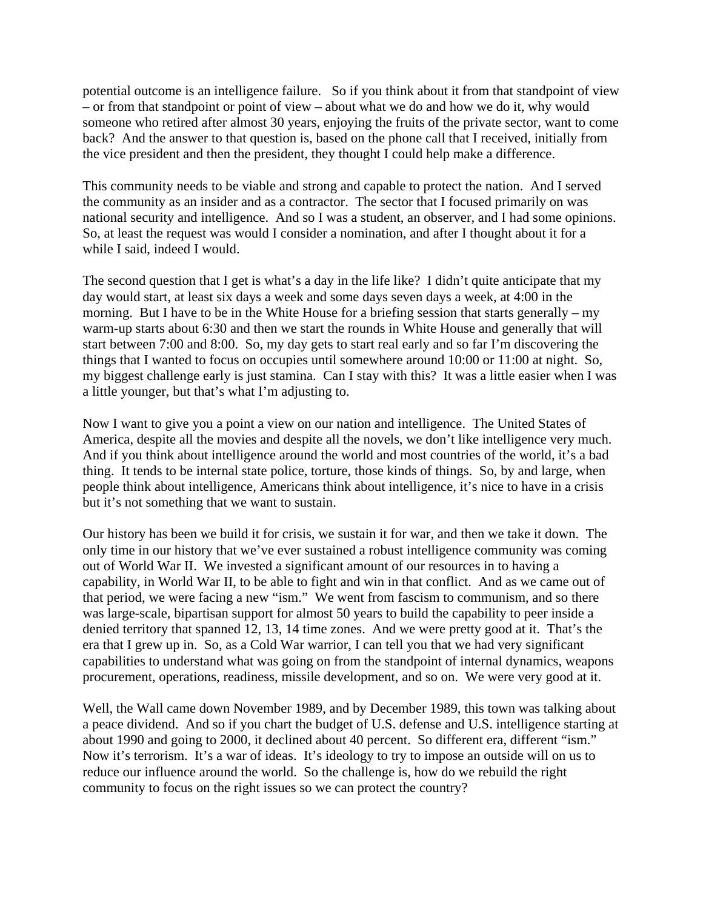potential outcome is an intelligence failure. So if you think about it from that standpoint of view – or from that standpoint or point of view – about what we do and how we do it, why would someone who retired after almost 30 years, enjoying the fruits of the private sector, want to come back? And the answer to that question is, based on the phone call that I received, initially from the vice president and then the president, they thought I could help make a difference.

This community needs to be viable and strong and capable to protect the nation. And I served the community as an insider and as a contractor. The sector that I focused primarily on was national security and intelligence. And so I was a student, an observer, and I had some opinions. So, at least the request was would I consider a nomination, and after I thought about it for a while I said, indeed I would.

The second question that I get is what's a day in the life like? I didn't quite anticipate that my day would start, at least six days a week and some days seven days a week, at 4:00 in the morning. But I have to be in the White House for a briefing session that starts generally – my warm-up starts about 6:30 and then we start the rounds in White House and generally that will start between 7:00 and 8:00. So, my day gets to start real early and so far I'm discovering the things that I wanted to focus on occupies until somewhere around 10:00 or 11:00 at night. So, my biggest challenge early is just stamina. Can I stay with this? It was a little easier when I was a little younger, but that's what I'm adjusting to.

Now I want to give you a point a view on our nation and intelligence. The United States of America, despite all the movies and despite all the novels, we don't like intelligence very much. And if you think about intelligence around the world and most countries of the world, it's a bad thing. It tends to be internal state police, torture, those kinds of things. So, by and large, when people think about intelligence, Americans think about intelligence, it's nice to have in a crisis but it's not something that we want to sustain.

Our history has been we build it for crisis, we sustain it for war, and then we take it down. The only time in our history that we've ever sustained a robust intelligence community was coming out of World War II. We invested a significant amount of our resources in to having a capability, in World War II, to be able to fight and win in that conflict. And as we came out of that period, we were facing a new "ism." We went from fascism to communism, and so there was large-scale, bipartisan support for almost 50 years to build the capability to peer inside a denied territory that spanned 12, 13, 14 time zones. And we were pretty good at it. That's the era that I grew up in. So, as a Cold War warrior, I can tell you that we had very significant capabilities to understand what was going on from the standpoint of internal dynamics, weapons procurement, operations, readiness, missile development, and so on. We were very good at it.

Well, the Wall came down November 1989, and by December 1989, this town was talking about a peace dividend. And so if you chart the budget of U.S. defense and U.S. intelligence starting at about 1990 and going to 2000, it declined about 40 percent. So different era, different "ism." Now it's terrorism. It's a war of ideas. It's ideology to try to impose an outside will on us to reduce our influence around the world. So the challenge is, how do we rebuild the right community to focus on the right issues so we can protect the country?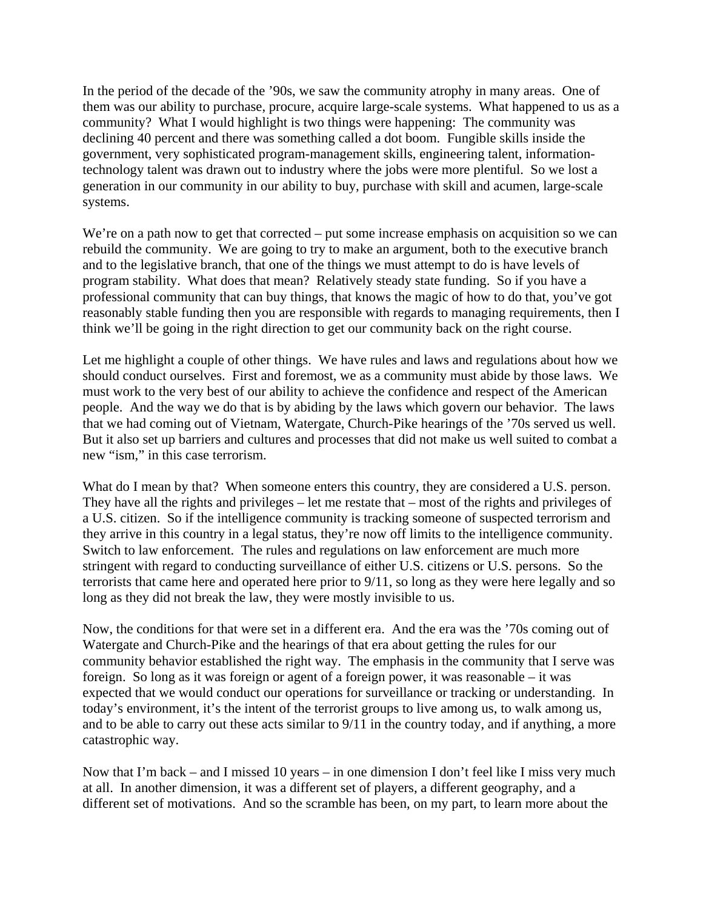In the period of the decade of the '90s, we saw the community atrophy in many areas. One of them was our ability to purchase, procure, acquire large-scale systems. What happened to us as a community? What I would highlight is two things were happening: The community was declining 40 percent and there was something called a dot boom. Fungible skills inside the government, very sophisticated program-management skills, engineering talent, informationtechnology talent was drawn out to industry where the jobs were more plentiful. So we lost a generation in our community in our ability to buy, purchase with skill and acumen, large-scale systems.

We're on a path now to get that corrected – put some increase emphasis on acquisition so we can rebuild the community. We are going to try to make an argument, both to the executive branch and to the legislative branch, that one of the things we must attempt to do is have levels of program stability. What does that mean? Relatively steady state funding. So if you have a professional community that can buy things, that knows the magic of how to do that, you've got reasonably stable funding then you are responsible with regards to managing requirements, then I think we'll be going in the right direction to get our community back on the right course.

Let me highlight a couple of other things. We have rules and laws and regulations about how we should conduct ourselves. First and foremost, we as a community must abide by those laws. We must work to the very best of our ability to achieve the confidence and respect of the American people. And the way we do that is by abiding by the laws which govern our behavior. The laws that we had coming out of Vietnam, Watergate, Church-Pike hearings of the '70s served us well. But it also set up barriers and cultures and processes that did not make us well suited to combat a new "ism," in this case terrorism.

What do I mean by that? When someone enters this country, they are considered a U.S. person. They have all the rights and privileges – let me restate that – most of the rights and privileges of a U.S. citizen. So if the intelligence community is tracking someone of suspected terrorism and they arrive in this country in a legal status, they're now off limits to the intelligence community. Switch to law enforcement. The rules and regulations on law enforcement are much more stringent with regard to conducting surveillance of either U.S. citizens or U.S. persons. So the terrorists that came here and operated here prior to 9/11, so long as they were here legally and so long as they did not break the law, they were mostly invisible to us.

Now, the conditions for that were set in a different era. And the era was the '70s coming out of Watergate and Church-Pike and the hearings of that era about getting the rules for our community behavior established the right way. The emphasis in the community that I serve was foreign. So long as it was foreign or agent of a foreign power, it was reasonable – it was expected that we would conduct our operations for surveillance or tracking or understanding. In today's environment, it's the intent of the terrorist groups to live among us, to walk among us, and to be able to carry out these acts similar to 9/11 in the country today, and if anything, a more catastrophic way.

Now that I'm back – and I missed 10 years – in one dimension I don't feel like I miss very much at all. In another dimension, it was a different set of players, a different geography, and a different set of motivations. And so the scramble has been, on my part, to learn more about the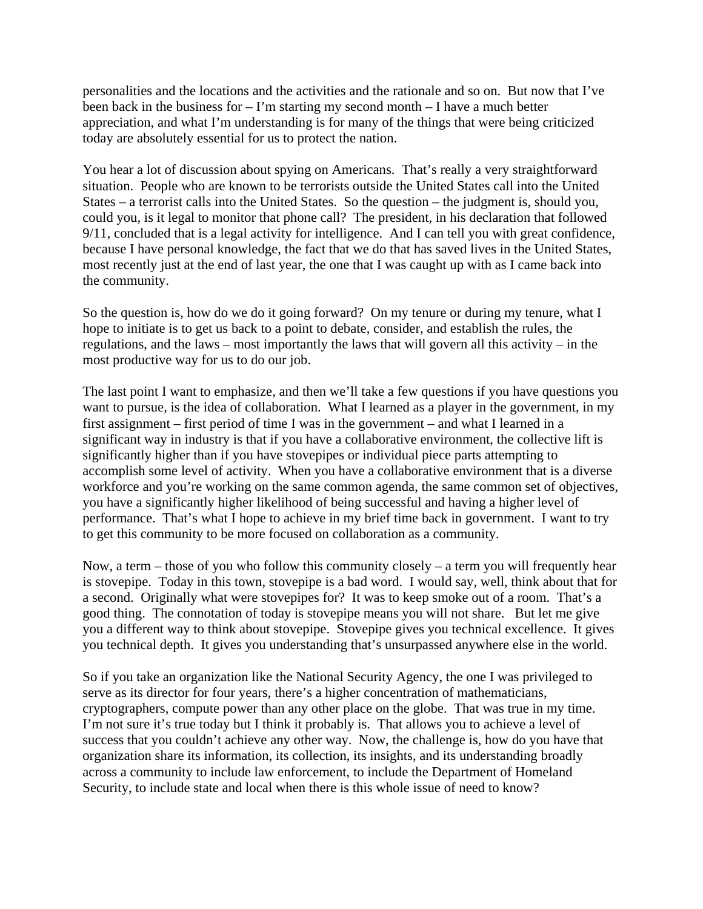personalities and the locations and the activities and the rationale and so on. But now that I've been back in the business for – I'm starting my second month – I have a much better appreciation, and what I'm understanding is for many of the things that were being criticized today are absolutely essential for us to protect the nation.

You hear a lot of discussion about spying on Americans. That's really a very straightforward situation. People who are known to be terrorists outside the United States call into the United States – a terrorist calls into the United States. So the question – the judgment is, should you, could you, is it legal to monitor that phone call? The president, in his declaration that followed 9/11, concluded that is a legal activity for intelligence. And I can tell you with great confidence, because I have personal knowledge, the fact that we do that has saved lives in the United States, most recently just at the end of last year, the one that I was caught up with as I came back into the community.

So the question is, how do we do it going forward? On my tenure or during my tenure, what I hope to initiate is to get us back to a point to debate, consider, and establish the rules, the regulations, and the laws – most importantly the laws that will govern all this activity – in the most productive way for us to do our job.

The last point I want to emphasize, and then we'll take a few questions if you have questions you want to pursue, is the idea of collaboration. What I learned as a player in the government, in my first assignment – first period of time I was in the government – and what I learned in a significant way in industry is that if you have a collaborative environment, the collective lift is significantly higher than if you have stovepipes or individual piece parts attempting to accomplish some level of activity. When you have a collaborative environment that is a diverse workforce and you're working on the same common agenda, the same common set of objectives, you have a significantly higher likelihood of being successful and having a higher level of performance. That's what I hope to achieve in my brief time back in government. I want to try to get this community to be more focused on collaboration as a community.

Now, a term – those of you who follow this community closely – a term you will frequently hear is stovepipe. Today in this town, stovepipe is a bad word. I would say, well, think about that for a second. Originally what were stovepipes for? It was to keep smoke out of a room. That's a good thing. The connotation of today is stovepipe means you will not share. But let me give you a different way to think about stovepipe. Stovepipe gives you technical excellence. It gives you technical depth. It gives you understanding that's unsurpassed anywhere else in the world.

So if you take an organization like the National Security Agency, the one I was privileged to serve as its director for four years, there's a higher concentration of mathematicians, cryptographers, compute power than any other place on the globe. That was true in my time. I'm not sure it's true today but I think it probably is. That allows you to achieve a level of success that you couldn't achieve any other way. Now, the challenge is, how do you have that organization share its information, its collection, its insights, and its understanding broadly across a community to include law enforcement, to include the Department of Homeland Security, to include state and local when there is this whole issue of need to know?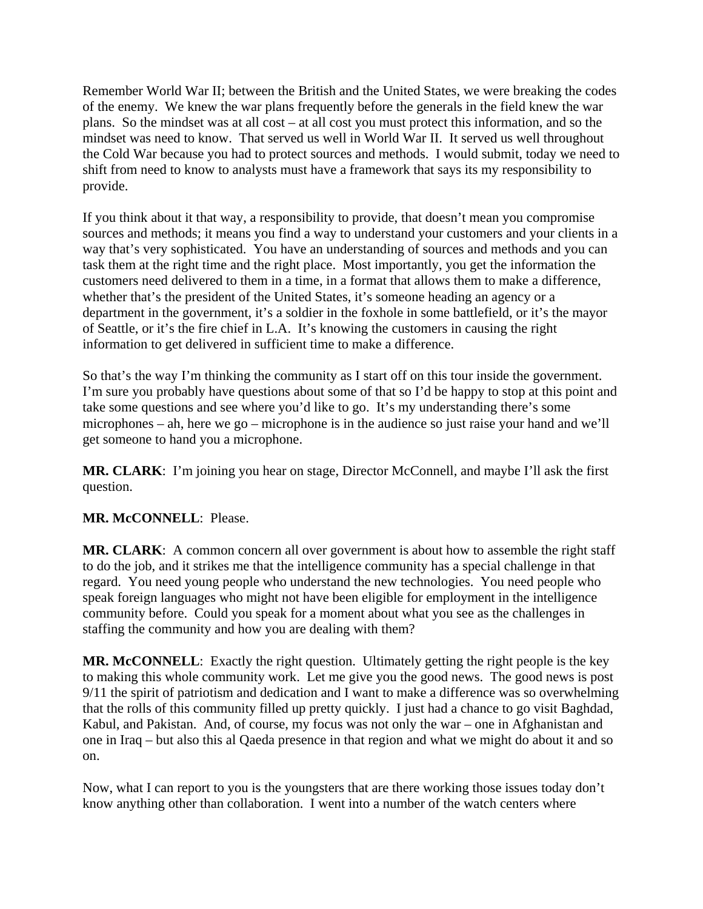Remember World War II; between the British and the United States, we were breaking the codes of the enemy. We knew the war plans frequently before the generals in the field knew the war plans. So the mindset was at all cost – at all cost you must protect this information, and so the mindset was need to know. That served us well in World War II. It served us well throughout the Cold War because you had to protect sources and methods. I would submit, today we need to shift from need to know to analysts must have a framework that says its my responsibility to provide.

If you think about it that way, a responsibility to provide, that doesn't mean you compromise sources and methods; it means you find a way to understand your customers and your clients in a way that's very sophisticated. You have an understanding of sources and methods and you can task them at the right time and the right place. Most importantly, you get the information the customers need delivered to them in a time, in a format that allows them to make a difference, whether that's the president of the United States, it's someone heading an agency or a department in the government, it's a soldier in the foxhole in some battlefield, or it's the mayor of Seattle, or it's the fire chief in L.A. It's knowing the customers in causing the right information to get delivered in sufficient time to make a difference.

So that's the way I'm thinking the community as I start off on this tour inside the government. I'm sure you probably have questions about some of that so I'd be happy to stop at this point and take some questions and see where you'd like to go. It's my understanding there's some microphones – ah, here we go – microphone is in the audience so just raise your hand and we'll get someone to hand you a microphone.

**MR. CLARK**: I'm joining you hear on stage, Director McConnell, and maybe I'll ask the first question.

## **MR. McCONNELL**: Please.

**MR. CLARK**: A common concern all over government is about how to assemble the right staff to do the job, and it strikes me that the intelligence community has a special challenge in that regard. You need young people who understand the new technologies. You need people who speak foreign languages who might not have been eligible for employment in the intelligence community before. Could you speak for a moment about what you see as the challenges in staffing the community and how you are dealing with them?

**MR. McCONNELL**: Exactly the right question. Ultimately getting the right people is the key to making this whole community work. Let me give you the good news. The good news is post 9/11 the spirit of patriotism and dedication and I want to make a difference was so overwhelming that the rolls of this community filled up pretty quickly. I just had a chance to go visit Baghdad, Kabul, and Pakistan. And, of course, my focus was not only the war – one in Afghanistan and one in Iraq – but also this al Qaeda presence in that region and what we might do about it and so on.

Now, what I can report to you is the youngsters that are there working those issues today don't know anything other than collaboration. I went into a number of the watch centers where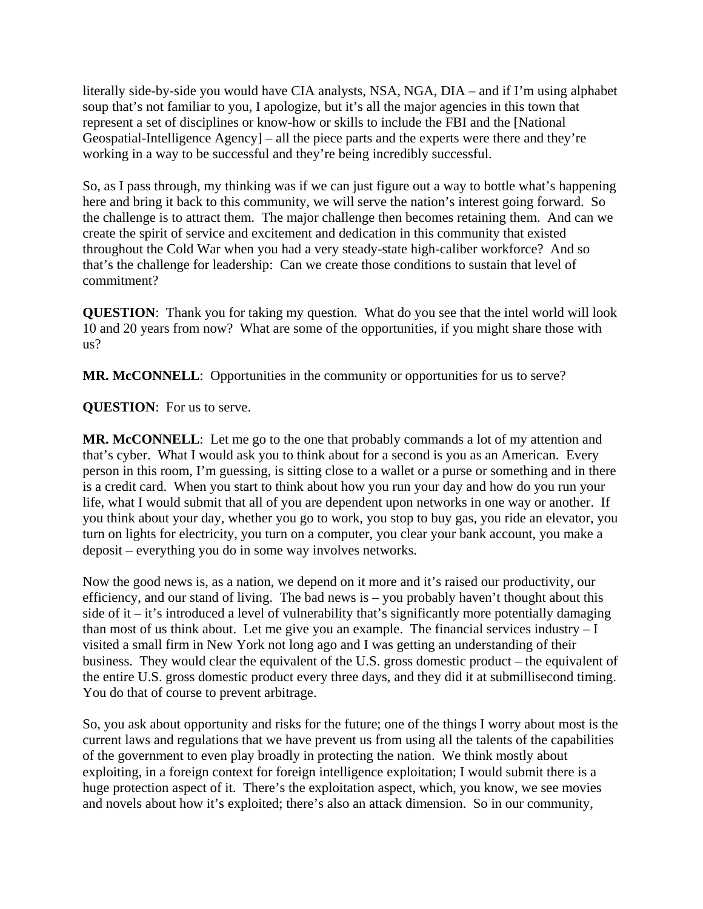literally side-by-side you would have CIA analysts, NSA, NGA, DIA – and if I'm using alphabet soup that's not familiar to you, I apologize, but it's all the major agencies in this town that represent a set of disciplines or know-how or skills to include the FBI and the [National Geospatial-Intelligence Agency] – all the piece parts and the experts were there and they're working in a way to be successful and they're being incredibly successful.

So, as I pass through, my thinking was if we can just figure out a way to bottle what's happening here and bring it back to this community, we will serve the nation's interest going forward. So the challenge is to attract them. The major challenge then becomes retaining them. And can we create the spirit of service and excitement and dedication in this community that existed throughout the Cold War when you had a very steady-state high-caliber workforce? And so that's the challenge for leadership: Can we create those conditions to sustain that level of commitment?

**QUESTION**: Thank you for taking my question. What do you see that the intel world will look 10 and 20 years from now? What are some of the opportunities, if you might share those with us?

**MR. McCONNELL**: Opportunities in the community or opportunities for us to serve?

**QUESTION**: For us to serve.

**MR. McCONNELL**: Let me go to the one that probably commands a lot of my attention and that's cyber. What I would ask you to think about for a second is you as an American. Every person in this room, I'm guessing, is sitting close to a wallet or a purse or something and in there is a credit card. When you start to think about how you run your day and how do you run your life, what I would submit that all of you are dependent upon networks in one way or another. If you think about your day, whether you go to work, you stop to buy gas, you ride an elevator, you turn on lights for electricity, you turn on a computer, you clear your bank account, you make a deposit – everything you do in some way involves networks.

Now the good news is, as a nation, we depend on it more and it's raised our productivity, our efficiency, and our stand of living. The bad news is – you probably haven't thought about this side of it – it's introduced a level of vulnerability that's significantly more potentially damaging than most of us think about. Let me give you an example. The financial services industry  $-I$ visited a small firm in New York not long ago and I was getting an understanding of their business. They would clear the equivalent of the U.S. gross domestic product – the equivalent of the entire U.S. gross domestic product every three days, and they did it at submillisecond timing. You do that of course to prevent arbitrage.

So, you ask about opportunity and risks for the future; one of the things I worry about most is the current laws and regulations that we have prevent us from using all the talents of the capabilities of the government to even play broadly in protecting the nation. We think mostly about exploiting, in a foreign context for foreign intelligence exploitation; I would submit there is a huge protection aspect of it. There's the exploitation aspect, which, you know, we see movies and novels about how it's exploited; there's also an attack dimension. So in our community,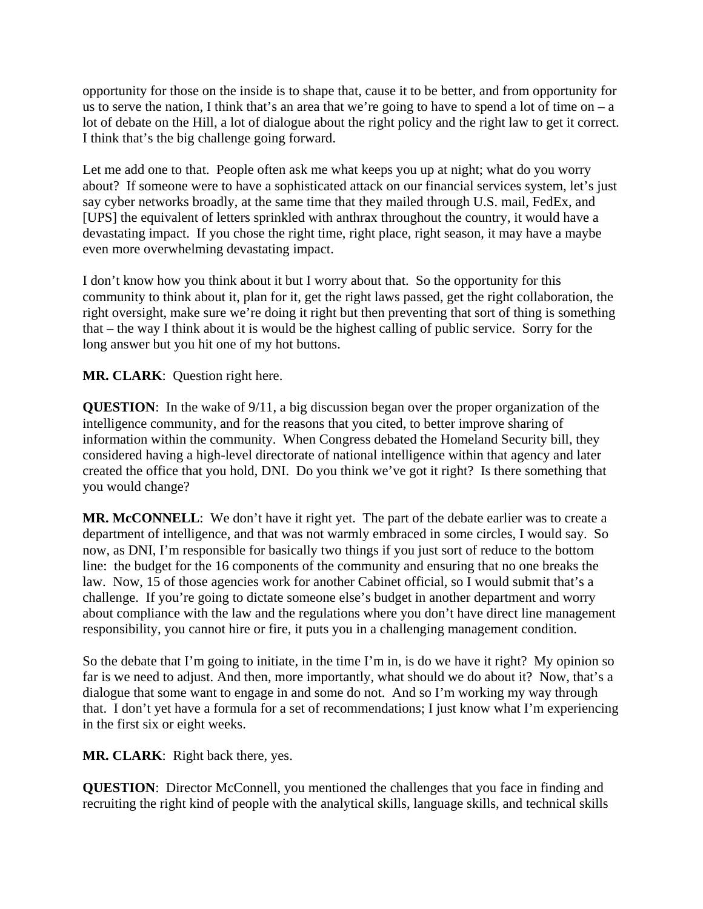opportunity for those on the inside is to shape that, cause it to be better, and from opportunity for us to serve the nation, I think that's an area that we're going to have to spend a lot of time on  $-a$ lot of debate on the Hill, a lot of dialogue about the right policy and the right law to get it correct. I think that's the big challenge going forward.

Let me add one to that. People often ask me what keeps you up at night; what do you worry about? If someone were to have a sophisticated attack on our financial services system, let's just say cyber networks broadly, at the same time that they mailed through U.S. mail, FedEx, and [UPS] the equivalent of letters sprinkled with anthrax throughout the country, it would have a devastating impact. If you chose the right time, right place, right season, it may have a maybe even more overwhelming devastating impact.

I don't know how you think about it but I worry about that. So the opportunity for this community to think about it, plan for it, get the right laws passed, get the right collaboration, the right oversight, make sure we're doing it right but then preventing that sort of thing is something that – the way I think about it is would be the highest calling of public service. Sorry for the long answer but you hit one of my hot buttons.

**MR. CLARK**: Question right here.

**QUESTION**: In the wake of 9/11, a big discussion began over the proper organization of the intelligence community, and for the reasons that you cited, to better improve sharing of information within the community. When Congress debated the Homeland Security bill, they considered having a high-level directorate of national intelligence within that agency and later created the office that you hold, DNI. Do you think we've got it right? Is there something that you would change?

**MR. McCONNELL**: We don't have it right yet. The part of the debate earlier was to create a department of intelligence, and that was not warmly embraced in some circles, I would say. So now, as DNI, I'm responsible for basically two things if you just sort of reduce to the bottom line: the budget for the 16 components of the community and ensuring that no one breaks the law. Now, 15 of those agencies work for another Cabinet official, so I would submit that's a challenge. If you're going to dictate someone else's budget in another department and worry about compliance with the law and the regulations where you don't have direct line management responsibility, you cannot hire or fire, it puts you in a challenging management condition.

So the debate that I'm going to initiate, in the time I'm in, is do we have it right? My opinion so far is we need to adjust. And then, more importantly, what should we do about it? Now, that's a dialogue that some want to engage in and some do not. And so I'm working my way through that. I don't yet have a formula for a set of recommendations; I just know what I'm experiencing in the first six or eight weeks.

**MR. CLARK**: Right back there, yes.

**QUESTION**: Director McConnell, you mentioned the challenges that you face in finding and recruiting the right kind of people with the analytical skills, language skills, and technical skills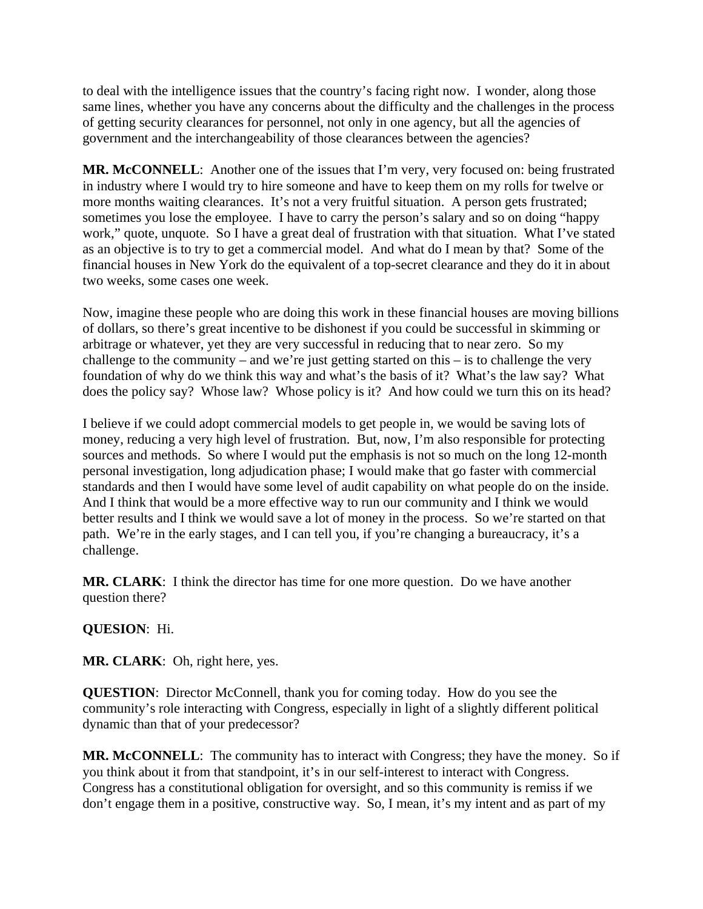to deal with the intelligence issues that the country's facing right now. I wonder, along those same lines, whether you have any concerns about the difficulty and the challenges in the process of getting security clearances for personnel, not only in one agency, but all the agencies of government and the interchangeability of those clearances between the agencies?

**MR. McCONNELL**: Another one of the issues that I'm very, very focused on: being frustrated in industry where I would try to hire someone and have to keep them on my rolls for twelve or more months waiting clearances. It's not a very fruitful situation. A person gets frustrated; sometimes you lose the employee. I have to carry the person's salary and so on doing "happy work," quote, unquote. So I have a great deal of frustration with that situation. What I've stated as an objective is to try to get a commercial model. And what do I mean by that? Some of the financial houses in New York do the equivalent of a top-secret clearance and they do it in about two weeks, some cases one week.

Now, imagine these people who are doing this work in these financial houses are moving billions of dollars, so there's great incentive to be dishonest if you could be successful in skimming or arbitrage or whatever, yet they are very successful in reducing that to near zero. So my challenge to the community – and we're just getting started on this – is to challenge the very foundation of why do we think this way and what's the basis of it? What's the law say? What does the policy say? Whose law? Whose policy is it? And how could we turn this on its head?

I believe if we could adopt commercial models to get people in, we would be saving lots of money, reducing a very high level of frustration. But, now, I'm also responsible for protecting sources and methods. So where I would put the emphasis is not so much on the long 12-month personal investigation, long adjudication phase; I would make that go faster with commercial standards and then I would have some level of audit capability on what people do on the inside. And I think that would be a more effective way to run our community and I think we would better results and I think we would save a lot of money in the process. So we're started on that path. We're in the early stages, and I can tell you, if you're changing a bureaucracy, it's a challenge.

**MR. CLARK**: I think the director has time for one more question. Do we have another question there?

**QUESION**: Hi.

**MR. CLARK**: Oh, right here, yes.

**QUESTION**: Director McConnell, thank you for coming today. How do you see the community's role interacting with Congress, especially in light of a slightly different political dynamic than that of your predecessor?

**MR. McCONNELL**: The community has to interact with Congress; they have the money. So if you think about it from that standpoint, it's in our self-interest to interact with Congress. Congress has a constitutional obligation for oversight, and so this community is remiss if we don't engage them in a positive, constructive way. So, I mean, it's my intent and as part of my